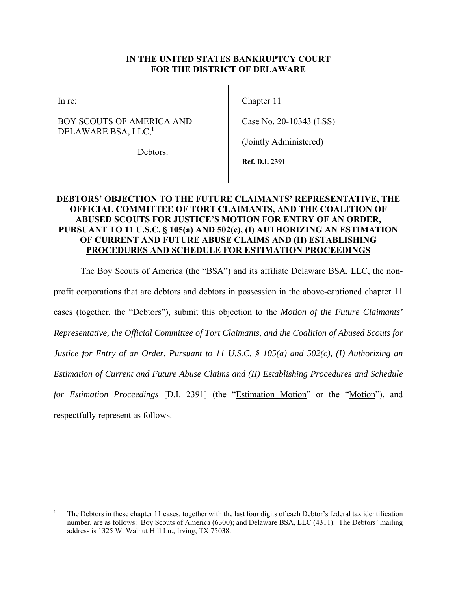## **IN THE UNITED STATES BANKRUPTCY COURT FOR THE DISTRICT OF DELAWARE**

In re:

## BOY SCOUTS OF AMERICA AND DELAWARE BSA, LLC,<sup>1</sup>

Chapter 11

Case No. 20-10343 (LSS)

(Jointly Administered)

Debtors.

**Ref. D.I. 2391** 

# **DEBTORS' OBJECTION TO THE FUTURE CLAIMANTS' REPRESENTATIVE, THE OFFICIAL COMMITTEE OF TORT CLAIMANTS, AND THE COALITION OF ABUSED SCOUTS FOR JUSTICE'S MOTION FOR ENTRY OF AN ORDER, PURSUANT TO 11 U.S.C. § 105(a) AND 502(c), (I) AUTHORIZING AN ESTIMATION OF CURRENT AND FUTURE ABUSE CLAIMS AND (II) ESTABLISHING PROCEDURES AND SCHEDULE FOR ESTIMATION PROCEEDINGS**

The Boy Scouts of America (the "BSA") and its affiliate Delaware BSA, LLC, the non-

profit corporations that are debtors and debtors in possession in the above-captioned chapter 11 cases (together, the "Debtors"), submit this objection to the *Motion of the Future Claimants' Representative, the Official Committee of Tort Claimants, and the Coalition of Abused Scouts for Justice for Entry of an Order, Pursuant to 11 U.S.C. § 105(a) and 502(c), (I) Authorizing an Estimation of Current and Future Abuse Claims and (II) Establishing Procedures and Schedule for Estimation Proceedings* [D.I. 2391] (the "Estimation Motion" or the "Motion"), and

respectfully represent as follows.

<sup>1</sup> The Debtors in these chapter 11 cases, together with the last four digits of each Debtor's federal tax identification number, are as follows: Boy Scouts of America (6300); and Delaware BSA, LLC (4311). The Debtors' mailing address is 1325 W. Walnut Hill Ln., Irving, TX 75038.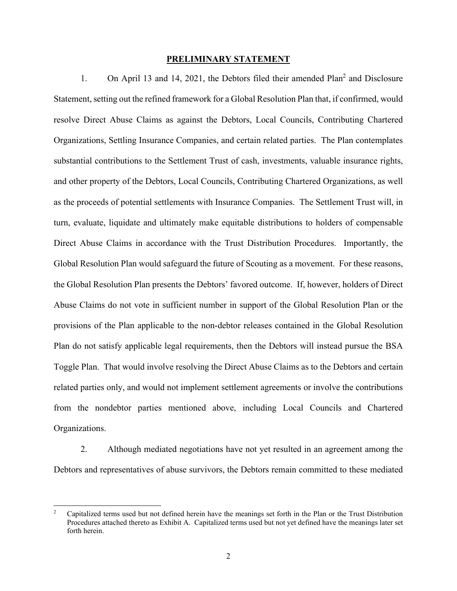### **PRELIMINARY STATEMENT**

1. On April 13 and 14, 2021, the Debtors filed their amended Plan<sup>2</sup> and Disclosure Statement, setting out the refined framework for a Global Resolution Plan that, if confirmed, would resolve Direct Abuse Claims as against the Debtors, Local Councils, Contributing Chartered Organizations, Settling Insurance Companies, and certain related parties. The Plan contemplates substantial contributions to the Settlement Trust of cash, investments, valuable insurance rights, and other property of the Debtors, Local Councils, Contributing Chartered Organizations, as well as the proceeds of potential settlements with Insurance Companies. The Settlement Trust will, in turn, evaluate, liquidate and ultimately make equitable distributions to holders of compensable Direct Abuse Claims in accordance with the Trust Distribution Procedures. Importantly, the Global Resolution Plan would safeguard the future of Scouting as a movement. For these reasons, the Global Resolution Plan presents the Debtors' favored outcome. If, however, holders of Direct Abuse Claims do not vote in sufficient number in support of the Global Resolution Plan or the provisions of the Plan applicable to the non-debtor releases contained in the Global Resolution Plan do not satisfy applicable legal requirements, then the Debtors will instead pursue the BSA Toggle Plan. That would involve resolving the Direct Abuse Claims as to the Debtors and certain related parties only, and would not implement settlement agreements or involve the contributions from the nondebtor parties mentioned above, including Local Councils and Chartered Organizations.

2. Although mediated negotiations have not yet resulted in an agreement among the Debtors and representatives of abuse survivors, the Debtors remain committed to these mediated

<sup>2</sup> Capitalized terms used but not defined herein have the meanings set forth in the Plan or the Trust Distribution Procedures attached thereto as Exhibit A. Capitalized terms used but not yet defined have the meanings later set forth herein.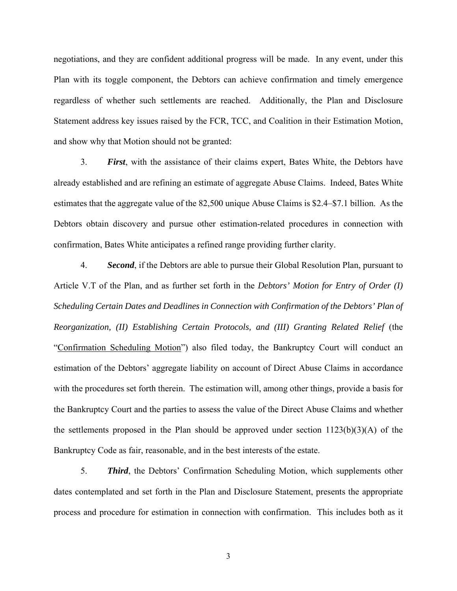negotiations, and they are confident additional progress will be made. In any event, under this Plan with its toggle component, the Debtors can achieve confirmation and timely emergence regardless of whether such settlements are reached. Additionally, the Plan and Disclosure Statement address key issues raised by the FCR, TCC, and Coalition in their Estimation Motion, and show why that Motion should not be granted:

3. *First*, with the assistance of their claims expert, Bates White, the Debtors have already established and are refining an estimate of aggregate Abuse Claims. Indeed, Bates White estimates that the aggregate value of the 82,500 unique Abuse Claims is \$2.4–\$7.1 billion. As the Debtors obtain discovery and pursue other estimation-related procedures in connection with confirmation, Bates White anticipates a refined range providing further clarity.

4. *Second*, if the Debtors are able to pursue their Global Resolution Plan, pursuant to Article V.T of the Plan, and as further set forth in the *Debtors' Motion for Entry of Order (I) Scheduling Certain Dates and Deadlines in Connection with Confirmation of the Debtors' Plan of Reorganization, (II) Establishing Certain Protocols, and (III) Granting Related Relief* (the "Confirmation Scheduling Motion") also filed today, the Bankruptcy Court will conduct an estimation of the Debtors' aggregate liability on account of Direct Abuse Claims in accordance with the procedures set forth therein. The estimation will, among other things, provide a basis for the Bankruptcy Court and the parties to assess the value of the Direct Abuse Claims and whether the settlements proposed in the Plan should be approved under section  $1123(b)(3)(A)$  of the Bankruptcy Code as fair, reasonable, and in the best interests of the estate.

5. *Third*, the Debtors' Confirmation Scheduling Motion, which supplements other dates contemplated and set forth in the Plan and Disclosure Statement, presents the appropriate process and procedure for estimation in connection with confirmation. This includes both as it

3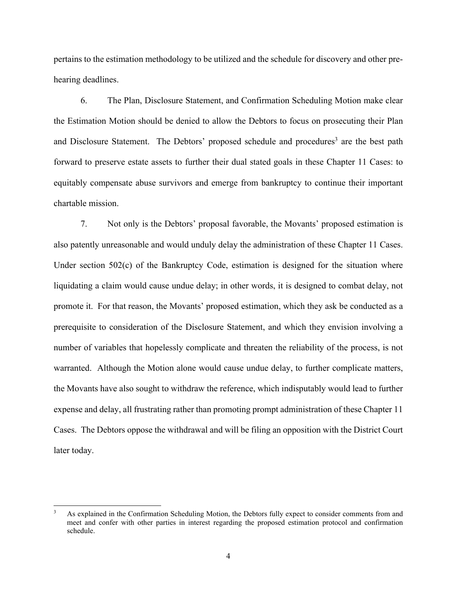pertains to the estimation methodology to be utilized and the schedule for discovery and other prehearing deadlines.

6. The Plan, Disclosure Statement, and Confirmation Scheduling Motion make clear the Estimation Motion should be denied to allow the Debtors to focus on prosecuting their Plan and Disclosure Statement. The Debtors' proposed schedule and procedures<sup>3</sup> are the best path forward to preserve estate assets to further their dual stated goals in these Chapter 11 Cases: to equitably compensate abuse survivors and emerge from bankruptcy to continue their important chartable mission.

7. Not only is the Debtors' proposal favorable, the Movants' proposed estimation is also patently unreasonable and would unduly delay the administration of these Chapter 11 Cases. Under section 502(c) of the Bankruptcy Code, estimation is designed for the situation where liquidating a claim would cause undue delay; in other words, it is designed to combat delay, not promote it. For that reason, the Movants' proposed estimation, which they ask be conducted as a prerequisite to consideration of the Disclosure Statement, and which they envision involving a number of variables that hopelessly complicate and threaten the reliability of the process, is not warranted. Although the Motion alone would cause undue delay, to further complicate matters, the Movants have also sought to withdraw the reference, which indisputably would lead to further expense and delay, all frustrating rather than promoting prompt administration of these Chapter 11 Cases. The Debtors oppose the withdrawal and will be filing an opposition with the District Court later today.

<sup>3</sup> As explained in the Confirmation Scheduling Motion, the Debtors fully expect to consider comments from and meet and confer with other parties in interest regarding the proposed estimation protocol and confirmation schedule.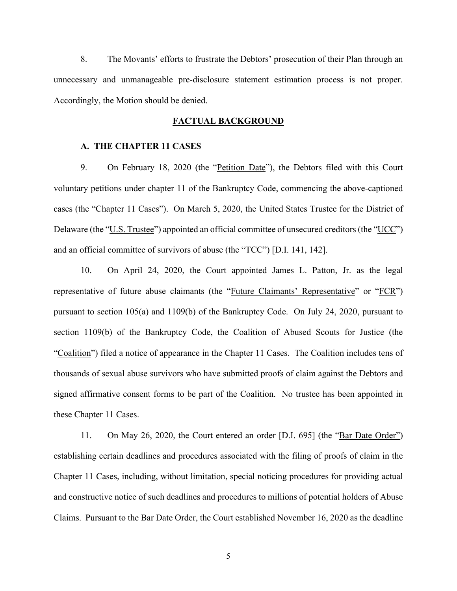8. The Movants' efforts to frustrate the Debtors' prosecution of their Plan through an unnecessary and unmanageable pre-disclosure statement estimation process is not proper. Accordingly, the Motion should be denied.

#### **FACTUAL BACKGROUND**

### **A. THE CHAPTER 11 CASES**

9. On February 18, 2020 (the "Petition Date"), the Debtors filed with this Court voluntary petitions under chapter 11 of the Bankruptcy Code, commencing the above-captioned cases (the "Chapter 11 Cases"). On March 5, 2020, the United States Trustee for the District of Delaware (the "U.S. Trustee") appointed an official committee of unsecured creditors (the "UCC") and an official committee of survivors of abuse (the "TCC") [D.I. 141, 142].

10. On April 24, 2020, the Court appointed James L. Patton, Jr. as the legal representative of future abuse claimants (the "Future Claimants' Representative" or "FCR") pursuant to section 105(a) and 1109(b) of the Bankruptcy Code. On July 24, 2020, pursuant to section 1109(b) of the Bankruptcy Code, the Coalition of Abused Scouts for Justice (the "Coalition") filed a notice of appearance in the Chapter 11 Cases. The Coalition includes tens of thousands of sexual abuse survivors who have submitted proofs of claim against the Debtors and signed affirmative consent forms to be part of the Coalition. No trustee has been appointed in these Chapter 11 Cases.

11. On May 26, 2020, the Court entered an order [D.I. 695] (the "Bar Date Order") establishing certain deadlines and procedures associated with the filing of proofs of claim in the Chapter 11 Cases, including, without limitation, special noticing procedures for providing actual and constructive notice of such deadlines and procedures to millions of potential holders of Abuse Claims. Pursuant to the Bar Date Order, the Court established November 16, 2020 as the deadline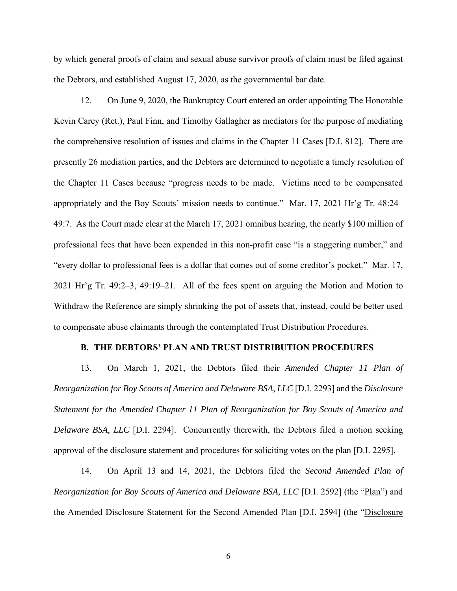by which general proofs of claim and sexual abuse survivor proofs of claim must be filed against the Debtors, and established August 17, 2020, as the governmental bar date.

12. On June 9, 2020, the Bankruptcy Court entered an order appointing The Honorable Kevin Carey (Ret.), Paul Finn, and Timothy Gallagher as mediators for the purpose of mediating the comprehensive resolution of issues and claims in the Chapter 11 Cases [D.I. 812]. There are presently 26 mediation parties, and the Debtors are determined to negotiate a timely resolution of the Chapter 11 Cases because "progress needs to be made. Victims need to be compensated appropriately and the Boy Scouts' mission needs to continue." Mar. 17, 2021 Hr'g Tr. 48:24– 49:7. As the Court made clear at the March 17, 2021 omnibus hearing, the nearly \$100 million of professional fees that have been expended in this non-profit case "is a staggering number," and "every dollar to professional fees is a dollar that comes out of some creditor's pocket." Mar. 17, 2021 Hr'g Tr. 49:2–3, 49:19–21. All of the fees spent on arguing the Motion and Motion to Withdraw the Reference are simply shrinking the pot of assets that, instead, could be better used to compensate abuse claimants through the contemplated Trust Distribution Procedures.

#### **B. THE DEBTORS' PLAN AND TRUST DISTRIBUTION PROCEDURES**

13. On March 1, 2021, the Debtors filed their *Amended Chapter 11 Plan of Reorganization for Boy Scouts of America and Delaware BSA, LLC* [D.I. 2293] and the *Disclosure Statement for the Amended Chapter 11 Plan of Reorganization for Boy Scouts of America and Delaware BSA, LLC* [D.I. 2294]. Concurrently therewith, the Debtors filed a motion seeking approval of the disclosure statement and procedures for soliciting votes on the plan [D.I. 2295].

14. On April 13 and 14, 2021, the Debtors filed the *Second Amended Plan of Reorganization for Boy Scouts of America and Delaware BSA, LLC* [D.I. 2592] (the "Plan") and the Amended Disclosure Statement for the Second Amended Plan [D.I. 2594] (the "Disclosure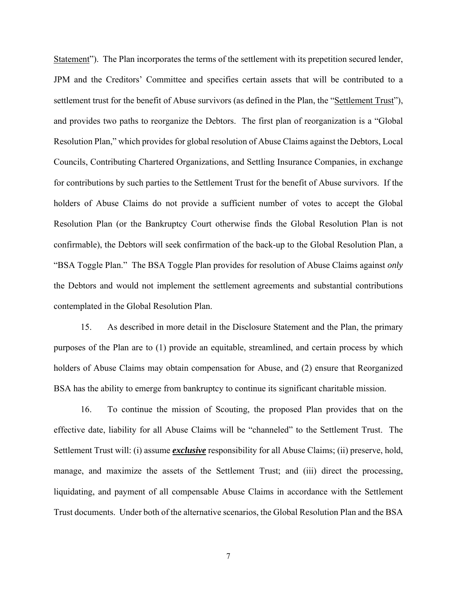Statement"). The Plan incorporates the terms of the settlement with its prepetition secured lender, JPM and the Creditors' Committee and specifies certain assets that will be contributed to a settlement trust for the benefit of Abuse survivors (as defined in the Plan, the "Settlement Trust"), and provides two paths to reorganize the Debtors. The first plan of reorganization is a "Global Resolution Plan," which provides for global resolution of Abuse Claims against the Debtors, Local Councils, Contributing Chartered Organizations, and Settling Insurance Companies, in exchange for contributions by such parties to the Settlement Trust for the benefit of Abuse survivors. If the holders of Abuse Claims do not provide a sufficient number of votes to accept the Global Resolution Plan (or the Bankruptcy Court otherwise finds the Global Resolution Plan is not confirmable), the Debtors will seek confirmation of the back-up to the Global Resolution Plan, a "BSA Toggle Plan." The BSA Toggle Plan provides for resolution of Abuse Claims against *only* the Debtors and would not implement the settlement agreements and substantial contributions contemplated in the Global Resolution Plan.

15. As described in more detail in the Disclosure Statement and the Plan, the primary purposes of the Plan are to (1) provide an equitable, streamlined, and certain process by which holders of Abuse Claims may obtain compensation for Abuse, and (2) ensure that Reorganized BSA has the ability to emerge from bankruptcy to continue its significant charitable mission.

16. To continue the mission of Scouting, the proposed Plan provides that on the effective date, liability for all Abuse Claims will be "channeled" to the Settlement Trust. The Settlement Trust will: (i) assume *exclusive* responsibility for all Abuse Claims; (ii) preserve, hold, manage, and maximize the assets of the Settlement Trust; and (iii) direct the processing, liquidating, and payment of all compensable Abuse Claims in accordance with the Settlement Trust documents. Under both of the alternative scenarios, the Global Resolution Plan and the BSA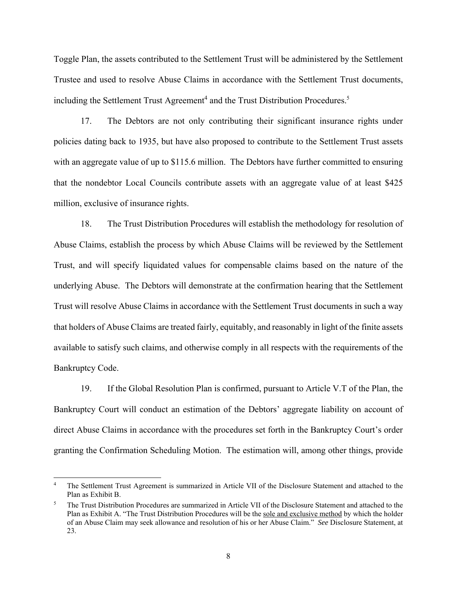Toggle Plan, the assets contributed to the Settlement Trust will be administered by the Settlement Trustee and used to resolve Abuse Claims in accordance with the Settlement Trust documents, including the Settlement Trust Agreement<sup>4</sup> and the Trust Distribution Procedures.<sup>5</sup>

17. The Debtors are not only contributing their significant insurance rights under policies dating back to 1935, but have also proposed to contribute to the Settlement Trust assets with an aggregate value of up to \$115.6 million. The Debtors have further committed to ensuring that the nondebtor Local Councils contribute assets with an aggregate value of at least \$425 million, exclusive of insurance rights.

18. The Trust Distribution Procedures will establish the methodology for resolution of Abuse Claims, establish the process by which Abuse Claims will be reviewed by the Settlement Trust, and will specify liquidated values for compensable claims based on the nature of the underlying Abuse. The Debtors will demonstrate at the confirmation hearing that the Settlement Trust will resolve Abuse Claims in accordance with the Settlement Trust documents in such a way that holders of Abuse Claims are treated fairly, equitably, and reasonably in light of the finite assets available to satisfy such claims, and otherwise comply in all respects with the requirements of the Bankruptcy Code.

19. If the Global Resolution Plan is confirmed, pursuant to Article V.T of the Plan, the Bankruptcy Court will conduct an estimation of the Debtors' aggregate liability on account of direct Abuse Claims in accordance with the procedures set forth in the Bankruptcy Court's order granting the Confirmation Scheduling Motion. The estimation will, among other things, provide

<sup>4</sup> The Settlement Trust Agreement is summarized in Article VII of the Disclosure Statement and attached to the Plan as Exhibit B.

<sup>5</sup> The Trust Distribution Procedures are summarized in Article VII of the Disclosure Statement and attached to the Plan as Exhibit A. "The Trust Distribution Procedures will be the sole and exclusive method by which the holder of an Abuse Claim may seek allowance and resolution of his or her Abuse Claim." *See* Disclosure Statement, at 23.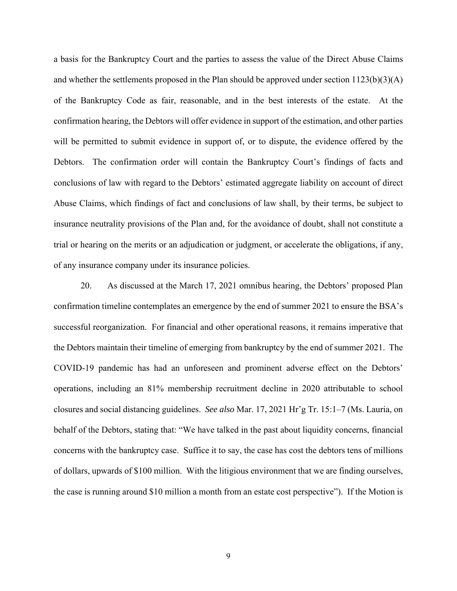a basis for the Bankruptcy Court and the parties to assess the value of the Direct Abuse Claims and whether the settlements proposed in the Plan should be approved under section  $1123(b)(3)(A)$ of the Bankruptcy Code as fair, reasonable, and in the best interests of the estate. At the confirmation hearing, the Debtors will offer evidence in support of the estimation, and other parties will be permitted to submit evidence in support of, or to dispute, the evidence offered by the Debtors. The confirmation order will contain the Bankruptcy Court's findings of facts and conclusions of law with regard to the Debtors' estimated aggregate liability on account of direct Abuse Claims, which findings of fact and conclusions of law shall, by their terms, be subject to insurance neutrality provisions of the Plan and, for the avoidance of doubt, shall not constitute a trial or hearing on the merits or an adjudication or judgment, or accelerate the obligations, if any, of any insurance company under its insurance policies.

20. As discussed at the March 17, 2021 omnibus hearing, the Debtors' proposed Plan confirmation timeline contemplates an emergence by the end of summer 2021 to ensure the BSA's successful reorganization. For financial and other operational reasons, it remains imperative that the Debtors maintain their timeline of emerging from bankruptcy by the end of summer 2021. The COVID-19 pandemic has had an unforeseen and prominent adverse effect on the Debtors' operations, including an 81% membership recruitment decline in 2020 attributable to school closures and social distancing guidelines. *See also* Mar. 17, 2021 Hr'g Tr. 15:1–7 (Ms. Lauria, on behalf of the Debtors, stating that: "We have talked in the past about liquidity concerns, financial concerns with the bankruptcy case. Suffice it to say, the case has cost the debtors tens of millions of dollars, upwards of \$100 million. With the litigious environment that we are finding ourselves, the case is running around \$10 million a month from an estate cost perspective"). If the Motion is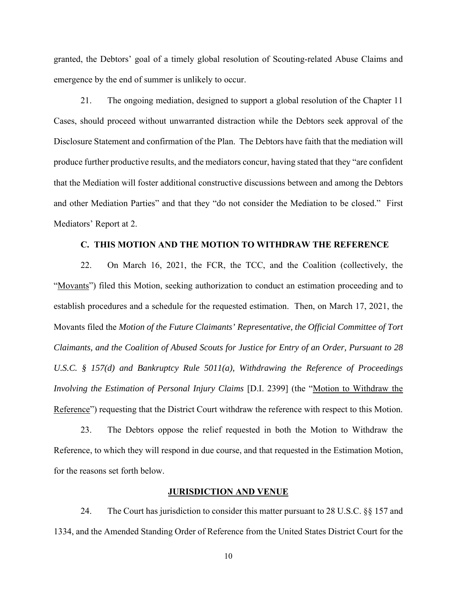granted, the Debtors' goal of a timely global resolution of Scouting-related Abuse Claims and emergence by the end of summer is unlikely to occur.

21. The ongoing mediation, designed to support a global resolution of the Chapter 11 Cases, should proceed without unwarranted distraction while the Debtors seek approval of the Disclosure Statement and confirmation of the Plan. The Debtors have faith that the mediation will produce further productive results, and the mediators concur, having stated that they "are confident that the Mediation will foster additional constructive discussions between and among the Debtors and other Mediation Parties" and that they "do not consider the Mediation to be closed." First Mediators' Report at 2.

#### **C. THIS MOTION AND THE MOTION TO WITHDRAW THE REFERENCE**

22. On March 16, 2021, the FCR, the TCC, and the Coalition (collectively, the "Movants") filed this Motion, seeking authorization to conduct an estimation proceeding and to establish procedures and a schedule for the requested estimation. Then, on March 17, 2021, the Movants filed the *Motion of the Future Claimants' Representative, the Official Committee of Tort Claimants, and the Coalition of Abused Scouts for Justice for Entry of an Order, Pursuant to 28 U.S.C. § 157(d) and Bankruptcy Rule 5011(a), Withdrawing the Reference of Proceedings Involving the Estimation of Personal Injury Claims* [D.I. 2399] (the "Motion to Withdraw the Reference") requesting that the District Court withdraw the reference with respect to this Motion.

23. The Debtors oppose the relief requested in both the Motion to Withdraw the Reference, to which they will respond in due course, and that requested in the Estimation Motion, for the reasons set forth below.

## **JURISDICTION AND VENUE**

24. The Court has jurisdiction to consider this matter pursuant to 28 U.S.C. §§ 157 and 1334, and the Amended Standing Order of Reference from the United States District Court for the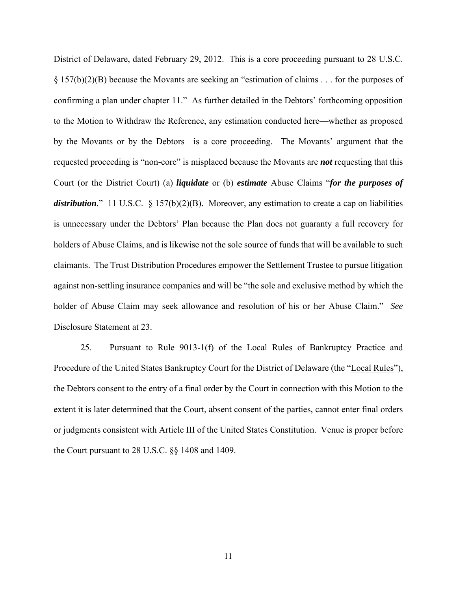District of Delaware, dated February 29, 2012. This is a core proceeding pursuant to 28 U.S.C. § 157(b)(2)(B) because the Movants are seeking an "estimation of claims . . . for the purposes of confirming a plan under chapter 11." As further detailed in the Debtors' forthcoming opposition to the Motion to Withdraw the Reference, any estimation conducted here—whether as proposed by the Movants or by the Debtors—is a core proceeding. The Movants' argument that the requested proceeding is "non-core" is misplaced because the Movants are *not* requesting that this Court (or the District Court) (a) *liquidate* or (b) *estimate* Abuse Claims "*for the purposes of*  distribution." 11 U.S.C. § 157(b)(2)(B). Moreover, any estimation to create a cap on liabilities is unnecessary under the Debtors' Plan because the Plan does not guaranty a full recovery for holders of Abuse Claims, and is likewise not the sole source of funds that will be available to such claimants. The Trust Distribution Procedures empower the Settlement Trustee to pursue litigation against non-settling insurance companies and will be "the sole and exclusive method by which the holder of Abuse Claim may seek allowance and resolution of his or her Abuse Claim." *See*  Disclosure Statement at 23.

25. Pursuant to Rule 9013-1(f) of the Local Rules of Bankruptcy Practice and Procedure of the United States Bankruptcy Court for the District of Delaware (the "Local Rules"), the Debtors consent to the entry of a final order by the Court in connection with this Motion to the extent it is later determined that the Court, absent consent of the parties, cannot enter final orders or judgments consistent with Article III of the United States Constitution. Venue is proper before the Court pursuant to 28 U.S.C. §§ 1408 and 1409.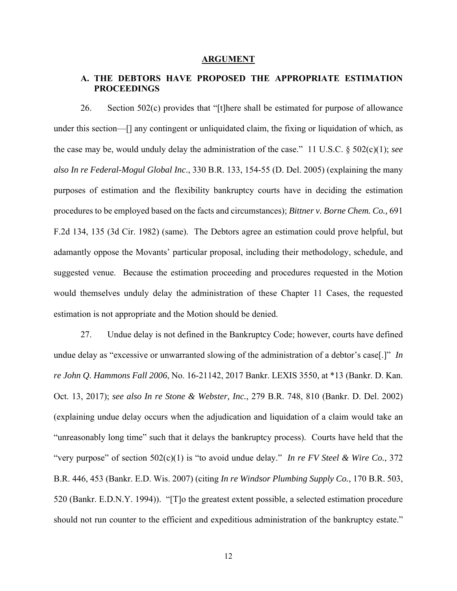#### **ARGUMENT**

# **A. THE DEBTORS HAVE PROPOSED THE APPROPRIATE ESTIMATION PROCEEDINGS**

26. Section 502(c) provides that "[t]here shall be estimated for purpose of allowance under this section—[] any contingent or unliquidated claim, the fixing or liquidation of which, as the case may be, would unduly delay the administration of the case." 11 U.S.C. § 502(c)(1); *see also In re Federal-Mogul Global Inc*., 330 B.R. 133, 154-55 (D. Del. 2005) (explaining the many purposes of estimation and the flexibility bankruptcy courts have in deciding the estimation procedures to be employed based on the facts and circumstances); *Bittner v. Borne Chem. Co.,* 691 F.2d 134, 135 (3d Cir. 1982) (same). The Debtors agree an estimation could prove helpful, but adamantly oppose the Movants' particular proposal, including their methodology, schedule, and suggested venue. Because the estimation proceeding and procedures requested in the Motion would themselves unduly delay the administration of these Chapter 11 Cases, the requested estimation is not appropriate and the Motion should be denied.

27. Undue delay is not defined in the Bankruptcy Code; however, courts have defined undue delay as "excessive or unwarranted slowing of the administration of a debtor's case[.]" *In re John Q. Hammons Fall 2006*, No. 16-21142, 2017 Bankr. LEXIS 3550, at \*13 (Bankr. D. Kan. Oct. 13, 2017); *see also In re Stone & Webster, Inc.*, 279 B.R. 748, 810 (Bankr. D. Del. 2002) (explaining undue delay occurs when the adjudication and liquidation of a claim would take an "unreasonably long time" such that it delays the bankruptcy process). Courts have held that the "very purpose" of section 502(c)(1) is "to avoid undue delay." *In re FV Steel & Wire Co.*, 372 B.R. 446, 453 (Bankr. E.D. Wis. 2007) (citing *In re Windsor Plumbing Supply Co.*, 170 B.R. 503, 520 (Bankr. E.D.N.Y. 1994)). "[T]o the greatest extent possible, a selected estimation procedure should not run counter to the efficient and expeditious administration of the bankruptcy estate."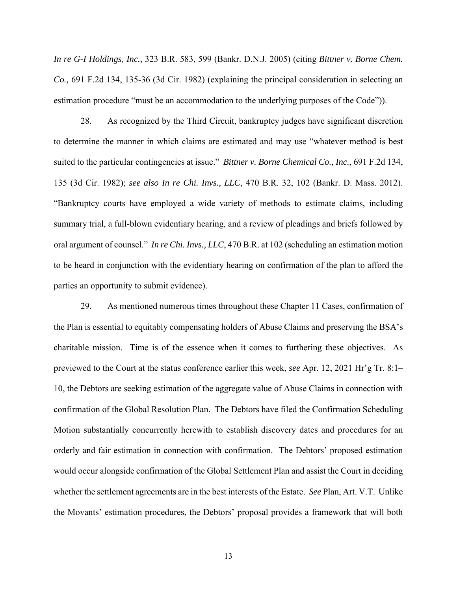*In re G-I Holdings, Inc.*, 323 B.R. 583, 599 (Bankr. D.N.J. 2005) (citing *Bittner v. Borne Chem. Co.,* 691 F.2d 134, 135-36 (3d Cir. 1982) (explaining the principal consideration in selecting an estimation procedure "must be an accommodation to the underlying purposes of the Code")).

28. As recognized by the Third Circuit, bankruptcy judges have significant discretion to determine the manner in which claims are estimated and may use "whatever method is best suited to the particular contingencies at issue." *Bittner v. Borne Chemical Co., Inc.*, 691 F.2d 134, 135 (3d Cir. 1982); *see also In re Chi. Invs., LLC*, 470 B.R. 32, 102 (Bankr. D. Mass. 2012). "Bankruptcy courts have employed a wide variety of methods to estimate claims, including summary trial, a full-blown evidentiary hearing, and a review of pleadings and briefs followed by oral argument of counsel." *In re Chi. Invs., LLC*, 470 B.R. at 102 (scheduling an estimation motion to be heard in conjunction with the evidentiary hearing on confirmation of the plan to afford the parties an opportunity to submit evidence).

29. As mentioned numerous times throughout these Chapter 11 Cases, confirmation of the Plan is essential to equitably compensating holders of Abuse Claims and preserving the BSA's charitable mission. Time is of the essence when it comes to furthering these objectives. As previewed to the Court at the status conference earlier this week, *see* Apr. 12, 2021 Hr'g Tr. 8:1– 10, the Debtors are seeking estimation of the aggregate value of Abuse Claims in connection with confirmation of the Global Resolution Plan. The Debtors have filed the Confirmation Scheduling Motion substantially concurrently herewith to establish discovery dates and procedures for an orderly and fair estimation in connection with confirmation. The Debtors' proposed estimation would occur alongside confirmation of the Global Settlement Plan and assist the Court in deciding whether the settlement agreements are in the best interests of the Estate. *See* Plan, Art. V.T. Unlike the Movants' estimation procedures, the Debtors' proposal provides a framework that will both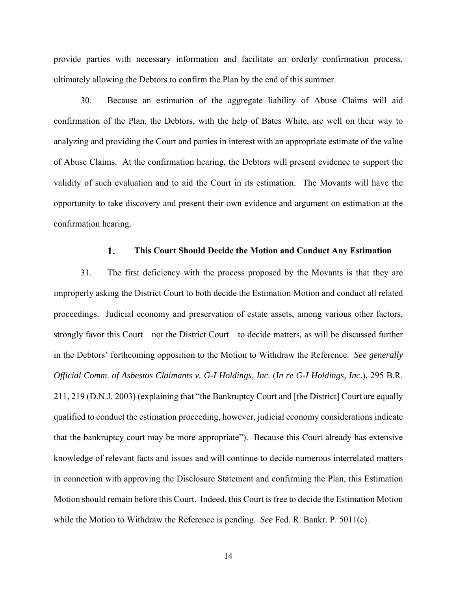provide parties with necessary information and facilitate an orderly confirmation process, ultimately allowing the Debtors to confirm the Plan by the end of this summer.

30. Because an estimation of the aggregate liability of Abuse Claims will aid confirmation of the Plan, the Debtors, with the help of Bates White, are well on their way to analyzing and providing the Court and parties in interest with an appropriate estimate of the value of Abuse Claims. At the confirmation hearing, the Debtors will present evidence to support the validity of such evaluation and to aid the Court in its estimation. The Movants will have the opportunity to take discovery and present their own evidence and argument on estimation at the confirmation hearing.

#### 1. **This Court Should Decide the Motion and Conduct Any Estimation**

31. The first deficiency with the process proposed by the Movants is that they are improperly asking the District Court to both decide the Estimation Motion and conduct all related proceedings. Judicial economy and preservation of estate assets, among various other factors, strongly favor this Court—not the District Court—to decide matters, as will be discussed further in the Debtors' forthcoming opposition to the Motion to Withdraw the Reference. *See generally Official Comm. of Asbestos Claimants v. G-I Holdings, Inc.* (*In re G-I Holdings, Inc.*), 295 B.R. 211, 219 (D.N.J. 2003) (explaining that "the Bankruptcy Court and [the District] Court are equally qualified to conduct the estimation proceeding, however, judicial economy considerations indicate that the bankruptcy court may be more appropriate"). Because this Court already has extensive knowledge of relevant facts and issues and will continue to decide numerous interrelated matters in connection with approving the Disclosure Statement and confirming the Plan, this Estimation Motion should remain before this Court. Indeed, this Court is free to decide the Estimation Motion while the Motion to Withdraw the Reference is pending. *See* Fed. R. Bankr. P. 5011(c).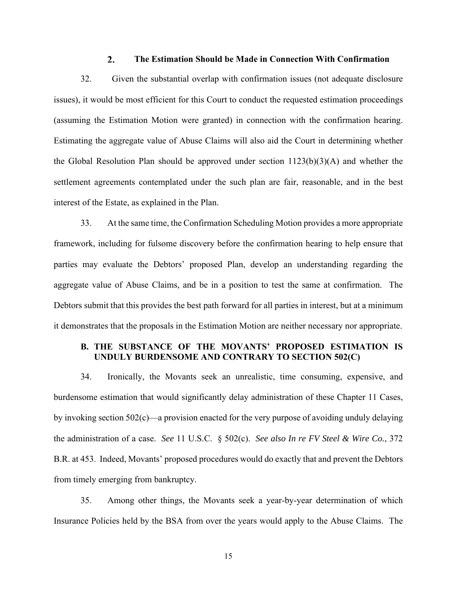#### $2.$ **The Estimation Should be Made in Connection With Confirmation**

32. Given the substantial overlap with confirmation issues (not adequate disclosure issues), it would be most efficient for this Court to conduct the requested estimation proceedings (assuming the Estimation Motion were granted) in connection with the confirmation hearing. Estimating the aggregate value of Abuse Claims will also aid the Court in determining whether the Global Resolution Plan should be approved under section  $1123(b)(3)(A)$  and whether the settlement agreements contemplated under the such plan are fair, reasonable, and in the best interest of the Estate, as explained in the Plan.

33. At the same time, the Confirmation Scheduling Motion provides a more appropriate framework, including for fulsome discovery before the confirmation hearing to help ensure that parties may evaluate the Debtors' proposed Plan, develop an understanding regarding the aggregate value of Abuse Claims, and be in a position to test the same at confirmation. The Debtors submit that this provides the best path forward for all parties in interest, but at a minimum it demonstrates that the proposals in the Estimation Motion are neither necessary nor appropriate.

# **B. THE SUBSTANCE OF THE MOVANTS' PROPOSED ESTIMATION IS UNDULY BURDENSOME AND CONTRARY TO SECTION 502(C)**

34. Ironically, the Movants seek an unrealistic, time consuming, expensive, and burdensome estimation that would significantly delay administration of these Chapter 11 Cases, by invoking section 502(c)—a provision enacted for the very purpose of avoiding unduly delaying the administration of a case. *See* 11 U.S.C. § 502(c). *See also In re FV Steel & Wire Co.*, 372 B.R. at 453. Indeed, Movants' proposed procedures would do exactly that and prevent the Debtors from timely emerging from bankruptcy.

35. Among other things, the Movants seek a year-by-year determination of which Insurance Policies held by the BSA from over the years would apply to the Abuse Claims. The

15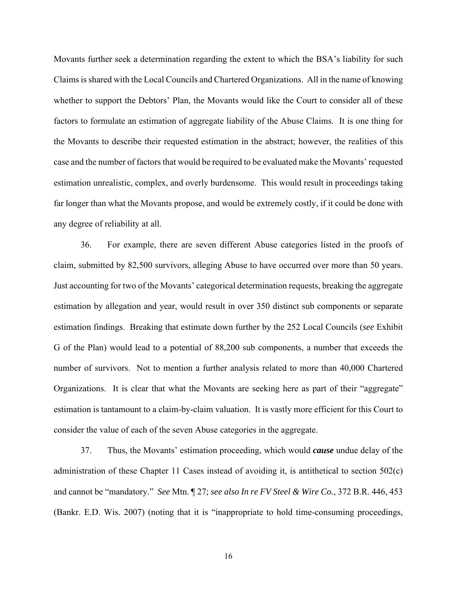Movants further seek a determination regarding the extent to which the BSA's liability for such Claims is shared with the Local Councils and Chartered Organizations. All in the name of knowing whether to support the Debtors' Plan, the Movants would like the Court to consider all of these factors to formulate an estimation of aggregate liability of the Abuse Claims. It is one thing for the Movants to describe their requested estimation in the abstract; however, the realities of this case and the number of factors that would be required to be evaluated make the Movants' requested estimation unrealistic, complex, and overly burdensome. This would result in proceedings taking far longer than what the Movants propose, and would be extremely costly, if it could be done with any degree of reliability at all.

36. For example, there are seven different Abuse categories listed in the proofs of claim, submitted by 82,500 survivors, alleging Abuse to have occurred over more than 50 years. Just accounting for two of the Movants' categorical determination requests, breaking the aggregate estimation by allegation and year, would result in over 350 distinct sub components or separate estimation findings. Breaking that estimate down further by the 252 Local Councils (*see* Exhibit G of the Plan) would lead to a potential of 88,200 sub components, a number that exceeds the number of survivors. Not to mention a further analysis related to more than 40,000 Chartered Organizations. It is clear that what the Movants are seeking here as part of their "aggregate" estimation is tantamount to a claim-by-claim valuation. It is vastly more efficient for this Court to consider the value of each of the seven Abuse categories in the aggregate.

37. Thus, the Movants' estimation proceeding, which would *cause* undue delay of the administration of these Chapter 11 Cases instead of avoiding it, is antithetical to section 502(c) and cannot be "mandatory." *See* Mtn. ¶ 27; *see also In re FV Steel & Wire Co.*, 372 B.R. 446, 453 (Bankr. E.D. Wis. 2007) (noting that it is "inappropriate to hold time-consuming proceedings,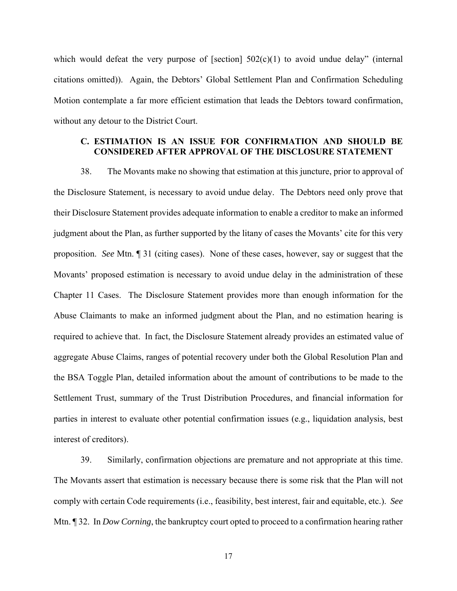which would defeat the very purpose of [section]  $502(c)(1)$  to avoid undue delay" (internal citations omitted)). Again, the Debtors' Global Settlement Plan and Confirmation Scheduling Motion contemplate a far more efficient estimation that leads the Debtors toward confirmation, without any detour to the District Court.

# **C. ESTIMATION IS AN ISSUE FOR CONFIRMATION AND SHOULD BE CONSIDERED AFTER APPROVAL OF THE DISCLOSURE STATEMENT**

38. The Movants make no showing that estimation at this juncture, prior to approval of the Disclosure Statement, is necessary to avoid undue delay. The Debtors need only prove that their Disclosure Statement provides adequate information to enable a creditor to make an informed judgment about the Plan, as further supported by the litany of cases the Movants' cite for this very proposition. *See* Mtn. ¶ 31 (citing cases). None of these cases, however, say or suggest that the Movants' proposed estimation is necessary to avoid undue delay in the administration of these Chapter 11 Cases. The Disclosure Statement provides more than enough information for the Abuse Claimants to make an informed judgment about the Plan, and no estimation hearing is required to achieve that. In fact, the Disclosure Statement already provides an estimated value of aggregate Abuse Claims, ranges of potential recovery under both the Global Resolution Plan and the BSA Toggle Plan, detailed information about the amount of contributions to be made to the Settlement Trust, summary of the Trust Distribution Procedures, and financial information for parties in interest to evaluate other potential confirmation issues (e.g., liquidation analysis, best interest of creditors).

39. Similarly, confirmation objections are premature and not appropriate at this time. The Movants assert that estimation is necessary because there is some risk that the Plan will not comply with certain Code requirements (i.e., feasibility, best interest, fair and equitable, etc.). *See*  Mtn. ¶ 32. In *Dow Corning*, the bankruptcy court opted to proceed to a confirmation hearing rather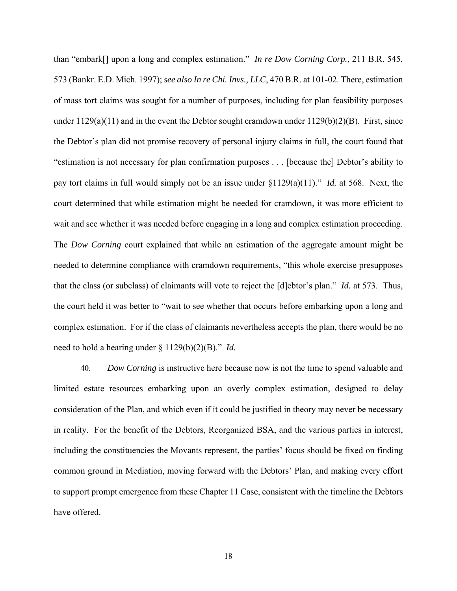than "embark[] upon a long and complex estimation." *In re Dow Corning Corp.*, 211 B.R. 545, 573 (Bankr. E.D. Mich. 1997); *see also In re Chi. Invs., LLC*, 470 B.R. at 101-02. There, estimation of mass tort claims was sought for a number of purposes, including for plan feasibility purposes under  $1129(a)(11)$  and in the event the Debtor sought cramdown under  $1129(b)(2)(B)$ . First, since the Debtor's plan did not promise recovery of personal injury claims in full, the court found that "estimation is not necessary for plan confirmation purposes . . . [because the] Debtor's ability to pay tort claims in full would simply not be an issue under §1129(a)(11)." *Id.* at 568. Next, the court determined that while estimation might be needed for cramdown, it was more efficient to wait and see whether it was needed before engaging in a long and complex estimation proceeding. The *Dow Corning* court explained that while an estimation of the aggregate amount might be needed to determine compliance with cramdown requirements, "this whole exercise presupposes that the class (or subclass) of claimants will vote to reject the [d]ebtor's plan." *Id.* at 573. Thus, the court held it was better to "wait to see whether that occurs before embarking upon a long and complex estimation. For if the class of claimants nevertheless accepts the plan, there would be no need to hold a hearing under § 1129(b)(2)(B)." *Id.*

40. *Dow Corning* is instructive here because now is not the time to spend valuable and limited estate resources embarking upon an overly complex estimation, designed to delay consideration of the Plan, and which even if it could be justified in theory may never be necessary in reality. For the benefit of the Debtors, Reorganized BSA, and the various parties in interest, including the constituencies the Movants represent, the parties' focus should be fixed on finding common ground in Mediation, moving forward with the Debtors' Plan, and making every effort to support prompt emergence from these Chapter 11 Case, consistent with the timeline the Debtors have offered.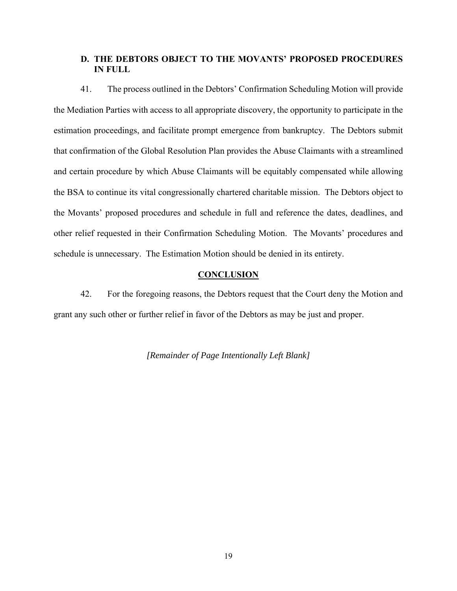# **D. THE DEBTORS OBJECT TO THE MOVANTS' PROPOSED PROCEDURES IN FULL**

41. The process outlined in the Debtors' Confirmation Scheduling Motion will provide the Mediation Parties with access to all appropriate discovery, the opportunity to participate in the estimation proceedings, and facilitate prompt emergence from bankruptcy. The Debtors submit that confirmation of the Global Resolution Plan provides the Abuse Claimants with a streamlined and certain procedure by which Abuse Claimants will be equitably compensated while allowing the BSA to continue its vital congressionally chartered charitable mission. The Debtors object to the Movants' proposed procedures and schedule in full and reference the dates, deadlines, and other relief requested in their Confirmation Scheduling Motion. The Movants' procedures and schedule is unnecessary. The Estimation Motion should be denied in its entirety.

## **CONCLUSION**

42. For the foregoing reasons, the Debtors request that the Court deny the Motion and grant any such other or further relief in favor of the Debtors as may be just and proper.

*[Remainder of Page Intentionally Left Blank]*